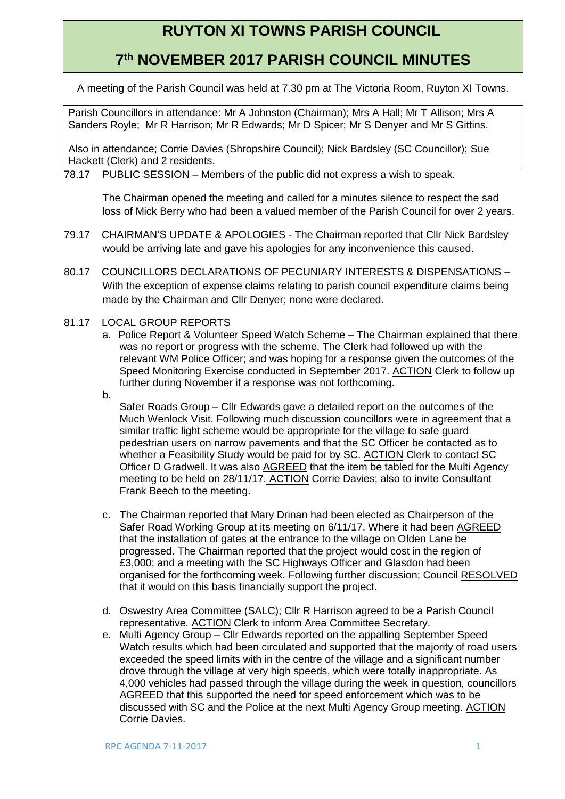# **RUYTON XI TOWNS PARISH COUNCIL**

## **7 th NOVEMBER 2017 PARISH COUNCIL MINUTES**

A meeting of the Parish Council was held at 7.30 pm at The Victoria Room, Ruyton XI Towns.

Parish Councillors in attendance: Mr A Johnston (Chairman); Mrs A Hall; Mr T Allison; Mrs A Sanders Royle; Mr R Harrison; Mr R Edwards; Mr D Spicer; Mr S Denyer and Mr S Gittins.

Also in attendance; Corrie Davies (Shropshire Council); Nick Bardsley (SC Councillor); Sue Hackett (Clerk) and 2 residents.

78.17 PUBLIC SESSION – Members of the public did not express a wish to speak.

The Chairman opened the meeting and called for a minutes silence to respect the sad loss of Mick Berry who had been a valued member of the Parish Council for over 2 years.

- 79.17 CHAIRMAN'S UPDATE & APOLOGIES The Chairman reported that Cllr Nick Bardsley would be arriving late and gave his apologies for any inconvenience this caused.
- 80.17 COUNCILLORS DECLARATIONS OF PECUNIARY INTERESTS & DISPENSATIONS With the exception of expense claims relating to parish council expenditure claims being made by the Chairman and Cllr Denyer; none were declared.
- 81.17 LOCAL GROUP REPORTS
	- a. Police Report & Volunteer Speed Watch Scheme The Chairman explained that there was no report or progress with the scheme. The Clerk had followed up with the relevant WM Police Officer; and was hoping for a response given the outcomes of the Speed Monitoring Exercise conducted in September 2017. ACTION Clerk to follow up further during November if a response was not forthcoming.
	- b.

Safer Roads Group – Cllr Edwards gave a detailed report on the outcomes of the Much Wenlock Visit. Following much discussion councillors were in agreement that a similar traffic light scheme would be appropriate for the village to safe guard pedestrian users on narrow pavements and that the SC Officer be contacted as to whether a Feasibility Study would be paid for by SC. ACTION Clerk to contact SC Officer D Gradwell. It was also AGREED that the item be tabled for the Multi Agency meeting to be held on 28/11/17. ACTION Corrie Davies; also to invite Consultant Frank Beech to the meeting.

- c. The Chairman reported that Mary Drinan had been elected as Chairperson of the Safer Road Working Group at its meeting on 6/11/17. Where it had been AGREED that the installation of gates at the entrance to the village on Olden Lane be progressed. The Chairman reported that the project would cost in the region of £3,000; and a meeting with the SC Highways Officer and Glasdon had been organised for the forthcoming week. Following further discussion; Council RESOLVED that it would on this basis financially support the project.
- d. Oswestry Area Committee (SALC); Cllr R Harrison agreed to be a Parish Council representative. ACTION Clerk to inform Area Committee Secretary.
- e. Multi Agency Group Cllr Edwards reported on the appalling September Speed Watch results which had been circulated and supported that the majority of road users exceeded the speed limits with in the centre of the village and a significant number drove through the village at very high speeds, which were totally inappropriate. As 4,000 vehicles had passed through the village during the week in question, councillors AGREED that this supported the need for speed enforcement which was to be discussed with SC and the Police at the next Multi Agency Group meeting. ACTION Corrie Davies.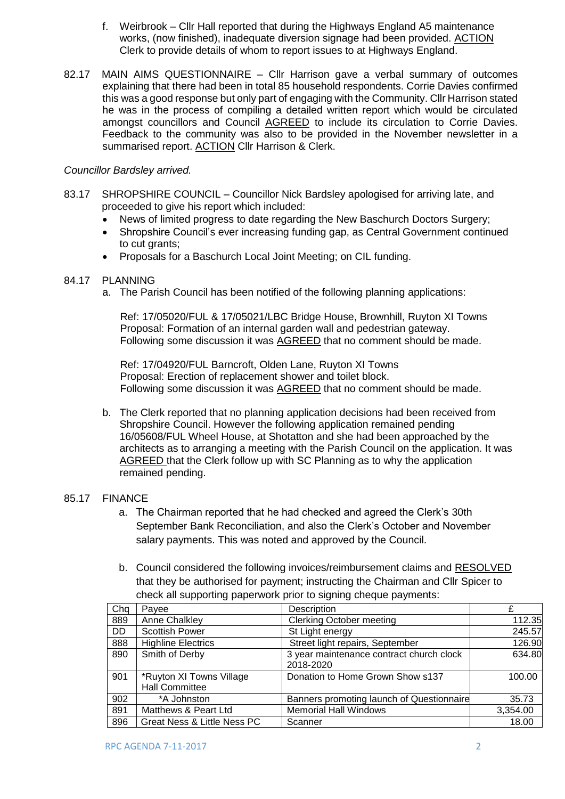- f. Weirbrook Cllr Hall reported that during the Highways England A5 maintenance works, (now finished), inadequate diversion signage had been provided. ACTION Clerk to provide details of whom to report issues to at Highways England.
- 82.17 MAIN AIMS QUESTIONNAIRE Cllr Harrison gave a verbal summary of outcomes explaining that there had been in total 85 household respondents. Corrie Davies confirmed this was a good response but only part of engaging with the Community. Cllr Harrison stated he was in the process of compiling a detailed written report which would be circulated amongst councillors and Council AGREED to include its circulation to Corrie Davies. Feedback to the community was also to be provided in the November newsletter in a summarised report. ACTION Cllr Harrison & Clerk.

#### *Councillor Bardsley arrived.*

- 83.17 SHROPSHIRE COUNCIL Councillor Nick Bardsley apologised for arriving late, and proceeded to give his report which included:
	- News of limited progress to date regarding the New Baschurch Doctors Surgery;
	- Shropshire Council's ever increasing funding gap, as Central Government continued to cut grants;
	- Proposals for a Baschurch Local Joint Meeting; on CIL funding.

#### 84.17 PLANNING

a. The Parish Council has been notified of the following planning applications:

Ref: 17/05020/FUL & 17/05021/LBC Bridge House, Brownhill, Ruyton XI Towns Proposal: Formation of an internal garden wall and pedestrian gateway. Following some discussion it was AGREED that no comment should be made.

Ref: 17/04920/FUL Barncroft, Olden Lane, Ruyton XI Towns Proposal: Erection of replacement shower and toilet block. Following some discussion it was AGREED that no comment should be made.

b. The Clerk reported that no planning application decisions had been received from Shropshire Council. However the following application remained pending 16/05608/FUL Wheel House, at Shotatton and she had been approached by the architects as to arranging a meeting with the Parish Council on the application. It was AGREED that the Clerk follow up with SC Planning as to why the application remained pending.

#### 85.17 FINANCE

- a. The Chairman reported that he had checked and agreed the Clerk's 30th September Bank Reconciliation, and also the Clerk's October and November salary payments. This was noted and approved by the Council.
- b. Council considered the following invoices/reimbursement claims and RESOLVED that they be authorised for payment; instructing the Chairman and Cllr Spicer to check all supporting paperwork prior to signing cheque payments:

| Chq | Payee                                             | Description                                           | £        |
|-----|---------------------------------------------------|-------------------------------------------------------|----------|
| 889 | Anne Chalkley                                     | <b>Clerking October meeting</b>                       | 112.35   |
| DD  | <b>Scottish Power</b>                             | St Light energy                                       | 245.57   |
| 888 | <b>Highline Electrics</b>                         | Street light repairs, September                       | 126.90   |
| 890 | Smith of Derby                                    | 3 year maintenance contract church clock<br>2018-2020 | 634.80   |
| 901 | *Ruyton XI Towns Village<br><b>Hall Committee</b> | Donation to Home Grown Show s137                      | 100.00   |
| 902 | *A Johnston                                       | Banners promoting launch of Questionnaire             | 35.73    |
| 891 | Matthews & Peart Ltd                              | <b>Memorial Hall Windows</b>                          | 3,354.00 |
| 896 | Great Ness & Little Ness PC                       | Scanner                                               | 18.00    |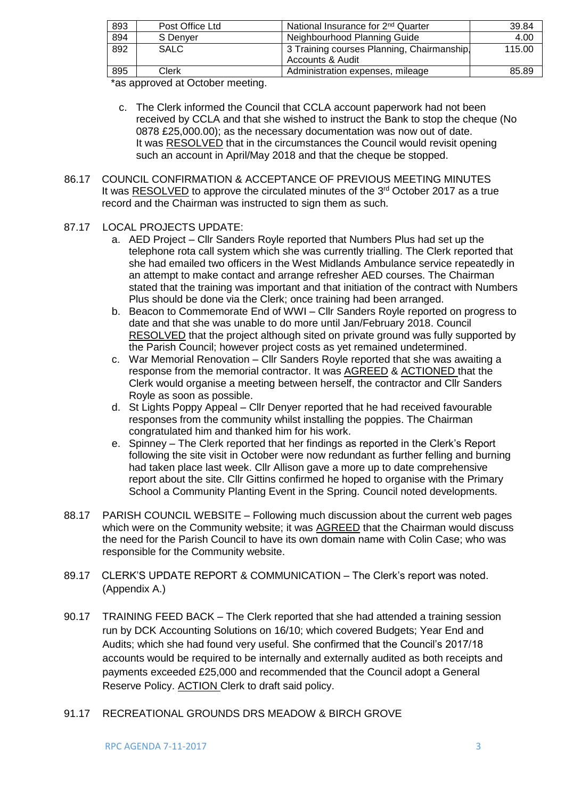| 893 | Post Office Ltd | National Insurance for 2 <sup>nd</sup> Quarter | 39.84  |
|-----|-----------------|------------------------------------------------|--------|
| 894 | S Denyer        | Neighbourhood Planning Guide                   | 4.00   |
| 892 | <b>SALC</b>     | 3 Training courses Planning, Chairmanship.     | 115.00 |
|     |                 | <b>Accounts &amp; Audit</b>                    |        |
| 895 | Clerk           | Administration expenses, mileage               | 85.89  |

\*as approved at October meeting.

- c. The Clerk informed the Council that CCLA account paperwork had not been received by CCLA and that she wished to instruct the Bank to stop the cheque (No 0878 £25,000.00); as the necessary documentation was now out of date. It was RESOLVED that in the circumstances the Council would revisit opening such an account in April/May 2018 and that the cheque be stopped.
- 86.17 COUNCIL CONFIRMATION & ACCEPTANCE OF PREVIOUS MEETING MINUTES It was RESOLVED to approve the circulated minutes of the  $3<sup>rd</sup>$  October 2017 as a true record and the Chairman was instructed to sign them as such.
- 87.17 LOCAL PROJECTS UPDATE:
	- a. AED Project Cllr Sanders Royle reported that Numbers Plus had set up the telephone rota call system which she was currently trialling. The Clerk reported that she had emailed two officers in the West Midlands Ambulance service repeatedly in an attempt to make contact and arrange refresher AED courses. The Chairman stated that the training was important and that initiation of the contract with Numbers Plus should be done via the Clerk; once training had been arranged.
	- b. Beacon to Commemorate End of WWI Cllr Sanders Royle reported on progress to date and that she was unable to do more until Jan/February 2018. Council RESOLVED that the project although sited on private ground was fully supported by the Parish Council; however project costs as yet remained undetermined.
	- c. War Memorial Renovation Cllr Sanders Royle reported that she was awaiting a response from the memorial contractor. It was AGREED & ACTIONED that the Clerk would organise a meeting between herself, the contractor and Cllr Sanders Royle as soon as possible.
	- d. St Lights Poppy Appeal Cllr Denyer reported that he had received favourable responses from the community whilst installing the poppies. The Chairman congratulated him and thanked him for his work.
	- e. Spinney The Clerk reported that her findings as reported in the Clerk's Report following the site visit in October were now redundant as further felling and burning had taken place last week. Cllr Allison gave a more up to date comprehensive report about the site. Cllr Gittins confirmed he hoped to organise with the Primary School a Community Planting Event in the Spring. Council noted developments.
- 88.17 PARISH COUNCIL WEBSITE Following much discussion about the current web pages which were on the Community website; it was AGREED that the Chairman would discuss the need for the Parish Council to have its own domain name with Colin Case; who was responsible for the Community website.
- 89.17 CLERK'S UPDATE REPORT & COMMUNICATION The Clerk's report was noted. (Appendix A.)
- 90.17 TRAINING FEED BACK The Clerk reported that she had attended a training session run by DCK Accounting Solutions on 16/10; which covered Budgets; Year End and Audits; which she had found very useful. She confirmed that the Council's 2017/18 accounts would be required to be internally and externally audited as both receipts and payments exceeded £25,000 and recommended that the Council adopt a General Reserve Policy. ACTION Clerk to draft said policy.
- 91.17 RECREATIONAL GROUNDS DRS MEADOW & BIRCH GROVE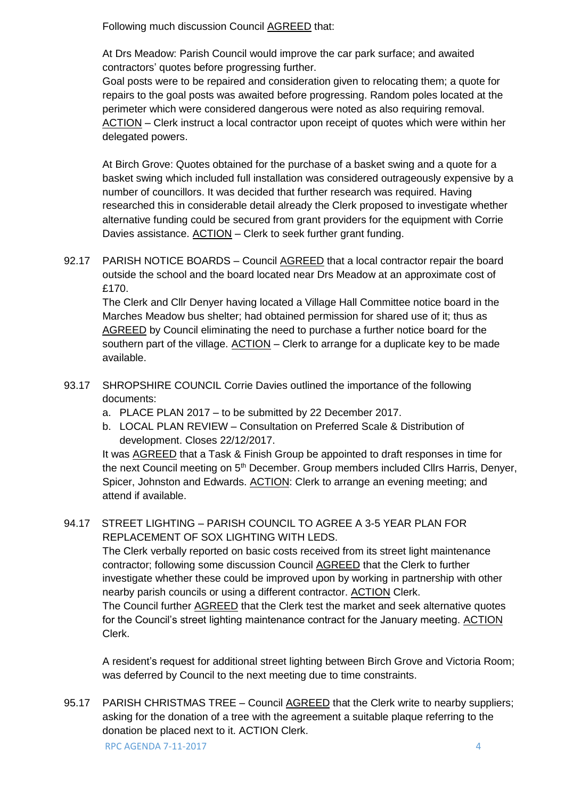Following much discussion Council AGREED that:

At Drs Meadow: Parish Council would improve the car park surface; and awaited contractors' quotes before progressing further.

Goal posts were to be repaired and consideration given to relocating them; a quote for repairs to the goal posts was awaited before progressing. Random poles located at the perimeter which were considered dangerous were noted as also requiring removal. ACTION – Clerk instruct a local contractor upon receipt of quotes which were within her delegated powers.

At Birch Grove: Quotes obtained for the purchase of a basket swing and a quote for a basket swing which included full installation was considered outrageously expensive by a number of councillors. It was decided that further research was required. Having researched this in considerable detail already the Clerk proposed to investigate whether alternative funding could be secured from grant providers for the equipment with Corrie Davies assistance. ACTION - Clerk to seek further grant funding.

92.17 PARISH NOTICE BOARDS – Council AGREED that a local contractor repair the board outside the school and the board located near Drs Meadow at an approximate cost of £170.

The Clerk and Cllr Denyer having located a Village Hall Committee notice board in the Marches Meadow bus shelter; had obtained permission for shared use of it; thus as AGREED by Council eliminating the need to purchase a further notice board for the southern part of the village. ACTION – Clerk to arrange for a duplicate key to be made available.

- 93.17 SHROPSHIRE COUNCIL Corrie Davies outlined the importance of the following documents:
	- a. PLACE PLAN 2017 to be submitted by 22 December 2017.
	- b. LOCAL PLAN REVIEW Consultation on Preferred Scale & Distribution of development. Closes 22/12/2017.

It was AGREED that a Task & Finish Group be appointed to draft responses in time for the next Council meeting on 5<sup>th</sup> December. Group members included Cllrs Harris, Denyer, Spicer, Johnston and Edwards. ACTION: Clerk to arrange an evening meeting; and attend if available.

### 94.17 STREET LIGHTING – PARISH COUNCIL TO AGREE A 3-5 YEAR PLAN FOR REPLACEMENT OF SOX LIGHTING WITH LEDS.

The Clerk verbally reported on basic costs received from its street light maintenance contractor; following some discussion Council AGREED that the Clerk to further investigate whether these could be improved upon by working in partnership with other nearby parish councils or using a different contractor. ACTION Clerk.

The Council further **AGREED** that the Clerk test the market and seek alternative quotes for the Council's street lighting maintenance contract for the January meeting. ACTION Clerk.

A resident's request for additional street lighting between Birch Grove and Victoria Room; was deferred by Council to the next meeting due to time constraints.

RPC AGENDA 7-11-2017 4 95.17 PARISH CHRISTMAS TREE - Council **AGREED** that the Clerk write to nearby suppliers; asking for the donation of a tree with the agreement a suitable plaque referring to the donation be placed next to it. ACTION Clerk.